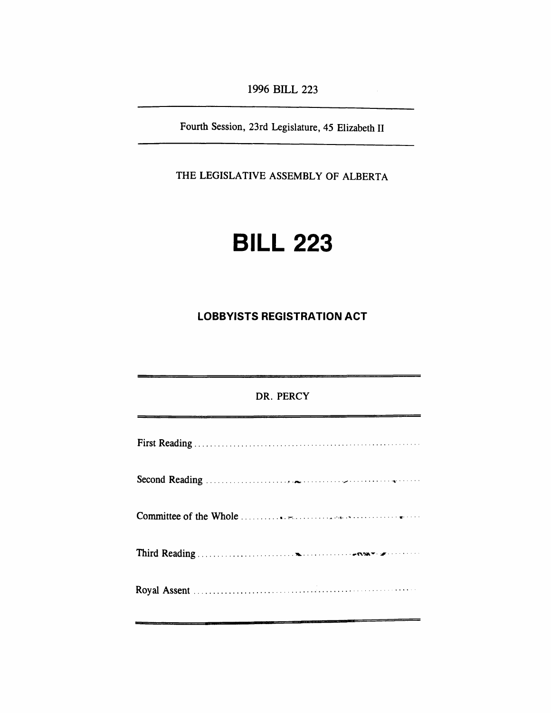*1996 BELL 223*

*Fourth Session, 23rd Legislature, 45 Elizabeth II*

*THE LEGISLATIVE ASSEMBLY OF ALBERTA*

# *BILL 223*

# *LOBBYISTS REGISTRATION ACT*

| DR. PERCY |
|-----------|
|           |
|           |
|           |
|           |
|           |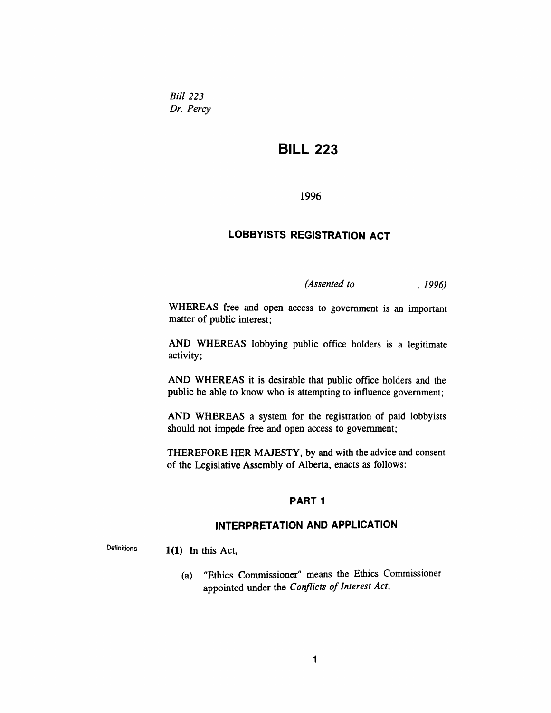*Bill 223 Dr. Percy*

# *BILL 223*

*1996*

# *LOBBYISTS REGISTRATION ACT*

*(Assented to , 1996)*

*WHEREAS free and open access to government is an important matter of public interest;*

*AND WHEREAS lobbying public office holders is a legitimate activity;*

*AND WHEREAS it is desirable that public office holders and the public be able to know who is attempting to influence government;*

*AND WHEREAS a system for the registration of paid lobbyists should not impede free and open access to government;*

*THEREFORE HER MAJESTY, by and with the advice and consent of the Legislative Assembly of Alberta, enacts as follows:*

### *PART <sup>1</sup>*

# *INTERPRETATION AND APPLICATION*

*Definitions*

- *1(1) In this Act,*
	- *(a) "Ethics Commissioner" means the Ethics Commissioner appointed under the Conflicts ofInterest Act;*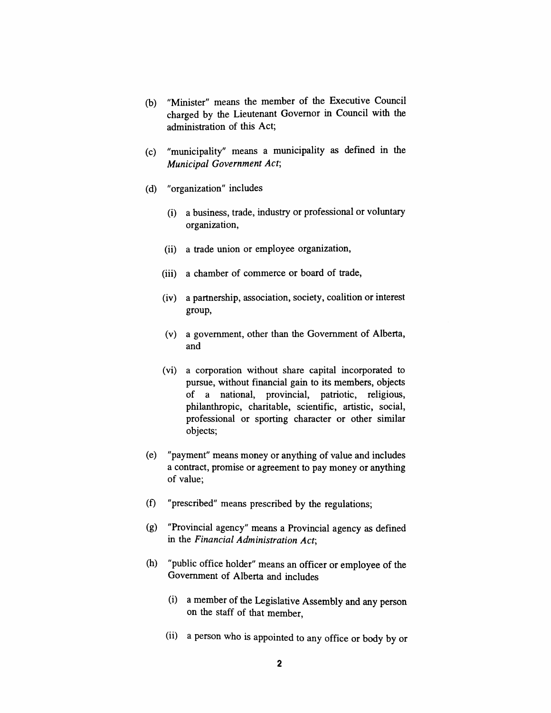- *(b) "Minister" means the member of the Executive Council charged by the Lieutenant Governor in Council with the administration of this Act;*
- *(c) "municipality" means a municipality as defined in the Municipal Government Act;*
- *(d) "organization" includes*
	- *(i) a business, trade, industry or professional or voluntary organization,*
	- *(ii) a trade union or employee organization,*
	- *(iii) a chamber of commerce or board of trade,*
	- *(iv) a partnership, association, society, coalition or interest group,*
	- *(v) a government, other than the Government of Alberta, and*
	- *(vi) a corporation without share capital incorporated to pursue, without financial gain to its members, objects of a national, provincial, patriotic, religious, philanthropic, charitable, scientific, artistic, social, professional or sporting character or other similar objects;*
- *(e) "payment" means money or anything of value and includes a contract, promise or agreement to pay money or anything of value;*
- *(f) "prescribed" means prescribed by the regulations;*
- *(g) "Provincial agency" means a Provincial agency as defined in the Financial Administration Act;*
- *(h) "public office holder" means an officer or employee of the Government of Alberta and includes*
	- *(i) a member of the Legislative Assembly and any person on the staff of that member,*
	- *(ii) a person who is appointed to any office or body by or*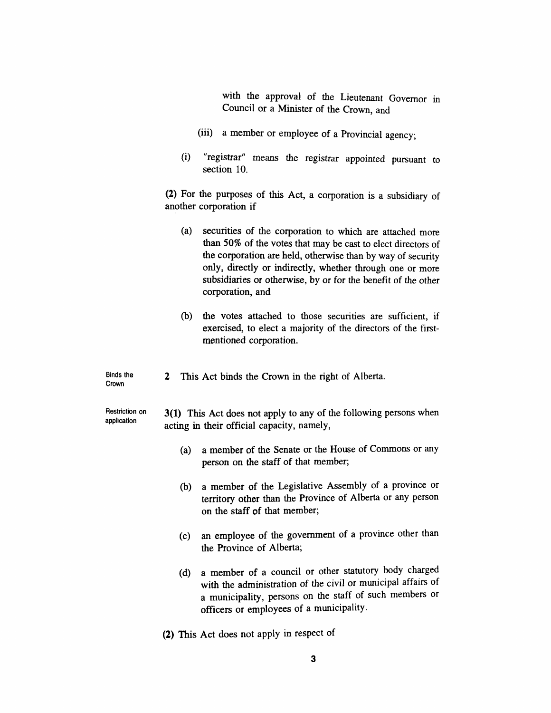*with the approval of the Lieutenant Governor in Council or a Minister of the Crown, and*

- *(iii) a member or employee of a Provincial agency;*
- *(i) "registrar" means the registrar appointed pursuant to section 10.*

*(2) For the purposes of this Act, a corporation is a subsidiary of another corporation if*

- *(a) securities of the corporation to which are attached more than 50% of the votes that may be cast to elect directors of the corporation are held, otherwise than by way of security only, directly or indirectly, whether through one or more subsidiaries or otherwise, by or for the benefit of the other corporation, and*
- *(b) the votes attached to those securities are sufficient, if exercised, to elect a majority of the directors of the firstmentioned corporation.*
- *Binds the Crown 2 This Act binds the Crown in the right of Alberta.*

*Restriction on application*

*3(1) This Act does not apply to any of the following persons when acting in their official capacity, namely,*

- *(a) a member of the Senate or the House of Commons or any person on the staff of that member;*
- *(b) a member of the Legislative Assembly of a province or territory other than the Province of Alberta or any person on the staff of that member;*
- *(c) an employee of the government of a province other than the Province of Alberta;*
- *(d) a member of a council or other statutory body charged with the administration of the civil or municipal affairs of a municipality, persons on the staff of such members or officers or employees of a municipality.*
- *(2) This Act does not apply in respect of*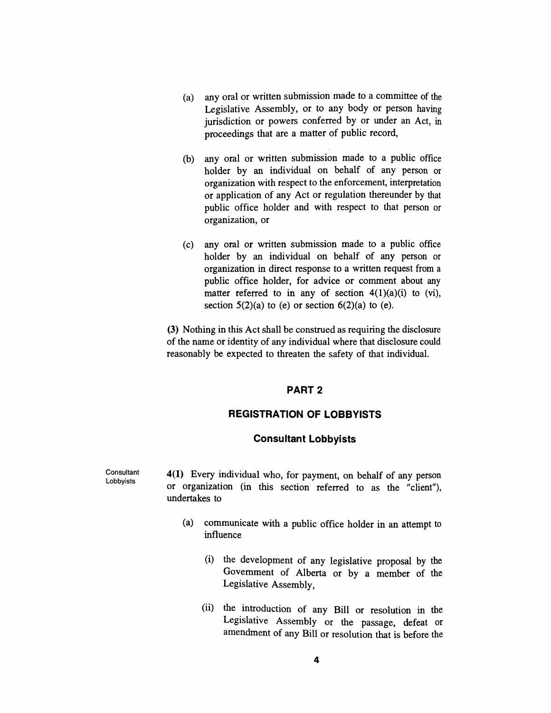- *(a) any oral or written submission made to a committee of the Legislative Assembly, or to any body or person having jurisdiction or powers conferred by or under an Act, in proceedings that are a matter of public record,*
- *(b) any oral or written submission made to a public office holder by an individual on behalf of any person or organization with respect to the enforcement, interpretation or application of any Act or regulation thereunder by that public office holder and with respect to that person or organization, or*
- *(c) any oral or written submission made to a public office holder by an individual on behalf of any person or organization in direct response to a written request from a public office holder, for advice or comment about any matter referred to in any of section 4(l)(a)(i) to (vi), section 5(2)(a) to (e) or section 6(2)(a) to (e).*

*(3) Nothing in this Act shall be construed as requiring the disclosure of the name or identity of any individual where that disclosure could reasonably be expected to threaten the safety of that individual.*

#### *PART 2*

#### *REGISTRATION OF LOBBYISTS*

#### *Consultant Lobbyists*

*Consultant Lobbyists 4(1) Every individual who, for payment, on behalf of any person or organization (in this section referred to as the "client"), undertakes to*

- *(a) communicate with a public office holder in an attempt to influence*
	- *(i) the development of any legislative proposal by the Government of Alberta or by a member of the Legislative Assembly,*
	- *(ii) the introduction of any Bill or resolution in the Legislative Assembly or the passage, defeat or amendment of any Bill or resolution that is before the*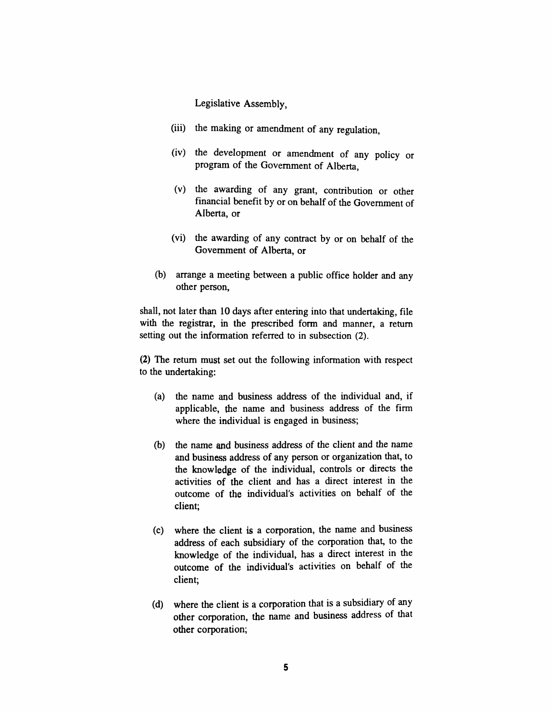*Legislative Assembly,*

- *(iii) the making or amendment of any regulation,*
- *(iv) the development or amendment of any policy or program of the Government of Alberta,*
- *(v) the awarding of any grant, contribution or other financial benefit by or on behalf of the Government of Alberta, or*
- *(vi) the awarding of any contract by or on behalf of the Government of Alberta, or*
- *(b) arrange a meeting between a public office holder and any other person,*

*shall, not later than 10 days after entering into that undertaking, file with the registrar, in the prescribed form and manner, a return setting out the information referred to in subsection (2).*

*(2) The return must set out the following information with respect to the undertaking:*

- *(a) the name and business address of the individual and, if applicable, the name and business address of the firm where the individual is engaged in business;*
- *(b) the name and business address of the client and the name and business address of any person or organization that, to the knowledge of the individual, controls or directs the activities of the client and has a direct interest in the outcome of the individual's activities on behalf of the client;*
- *(c) where the client is a corporation, the name and business address of each subsidiary of the corporation that, to the knowledge of the individual, has a direct interest in the outcome of the individual's activities on behalf of the client;*
- *(d) where the client is a corporation that is a subsidiary of any other corporation, the name and business address of that other corporation;*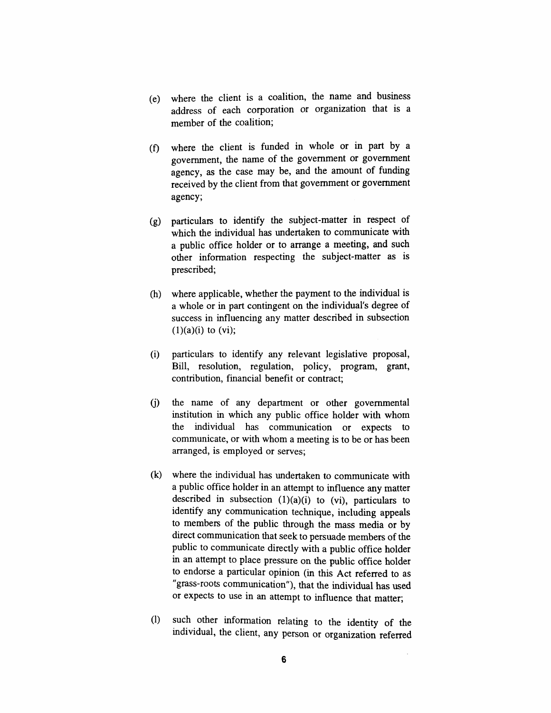- *(e) where the client is a coalition, the name and business address of each corporation or organization that is a member of the coalition;*
- *(f) where the client is funded in whole or in part by a government, the name of the government or government agency, as the case may be, and the amount of funding received by the client from that government or government agency;*
- *(g) particulars to identify the subject-matter in respect of which the individual has undertaken to communicate with a public office holder or to arrange a meeting, and such other information respecting the subject-matter as is prescribed;*
- *(h) where applicable, whether the payment to the individual is a whole or in part contingent on the individual's degree of success in influencing any matter described in subsection (l)(a)(i) to (vi);*
- *(i) particulars to identify any relevant legislative proposal, Bill, resolution, regulation, policy, program, grant, contribution, financial benefit or contract;*
- *(j) the name of any department or other governmental institution in which any public office holder with whom the individual has communication or expects to communicate, or with whom a meeting is to be or has been arranged, is employed or serves;*
- *(k) where the individual has undertaken to communicate with a public office holder in an attempt to influence any matter described in subsection (l)(a)(i) to (vi), particulars to identify any communication technique, including appeals to members of the public through the mass media or by direct communication that seek to persuade members of the public to communicate directly with a public office holder in an attempt to place pressure on the public office holder to endorse a particular opinion (in this Act referred to as grass-roots communication"), that the individual has used or expects to use in an attempt to influence that matter;*
- *(l) such other information relating to the identity of the individual, the client, any person or organization referred*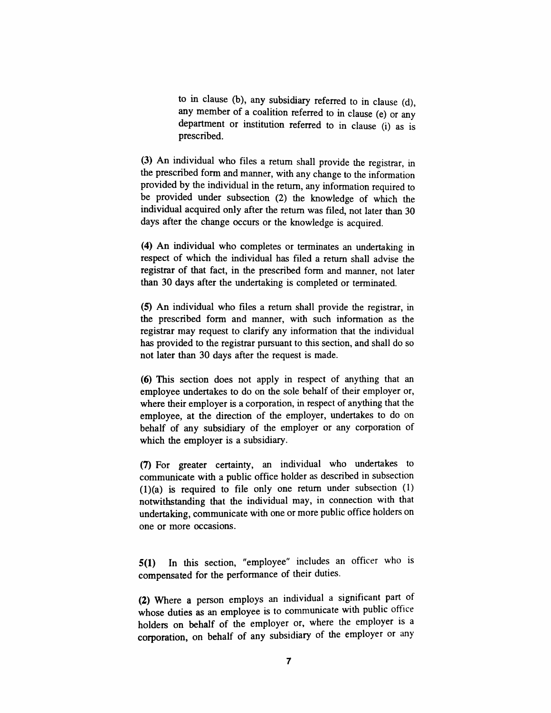*to in clause (b), any subsidiary referred to in clause (d), any member of a coalition referred to in clause (e) or any department or institution referred to in clause (i) as is prescribed.*

*(3) An individual who files a return shall provide the registrar, in the prescribed form and manner, with any change to the information provided by the individual in the return, any information required to be provided under subsection (2) the knowledge of which the individual acquired only after the return was filed, not later than 30 days after the change occurs or the knowledge is acquired.*

*(4) An individual who completes or terminates an undertaking in respect of which the individual has filed a return shall advise the registrar of that fact, in the prescribed form and manner, not later than 30 days after the undertaking is completed or terminated.*

*(5) An individual who files a return shall provide the registrar, in the prescribed form and manner, with such information as the registrar may request to clarify any information that the individual has provided to the registrar pursuant to this section, and shall do so not later than 30 days after the request is made.*

*(6) This section does not apply in respect of anything that an employee undertakes to do on the sole behalf of their employer or, where their employer is a corporation, in respect of anything that the employee, at the direction of the employer, undertakes to do on behalf of any subsidiary of the employer or any corporation of which the employer is a subsidiary.*

*(7) For greater certainty, an individual who undertakes to communicate with a public office holder as described in subsection (l)(a) is required to file only one return under subsection (1) notwithstanding that the individual may, in connection with that undertaking, communicate with one or more public office holders on one or more occasions.*

*5(1) In this section, "employee" includes an officer who is compensated for the performance of their duties.*

*(2) Where a person employs an individual a significant part of whose duties as an employee is to communicate with public office holders on behalf of the employer or, where the employer is a corporation, on behalf of any subsidiary of the employer or any*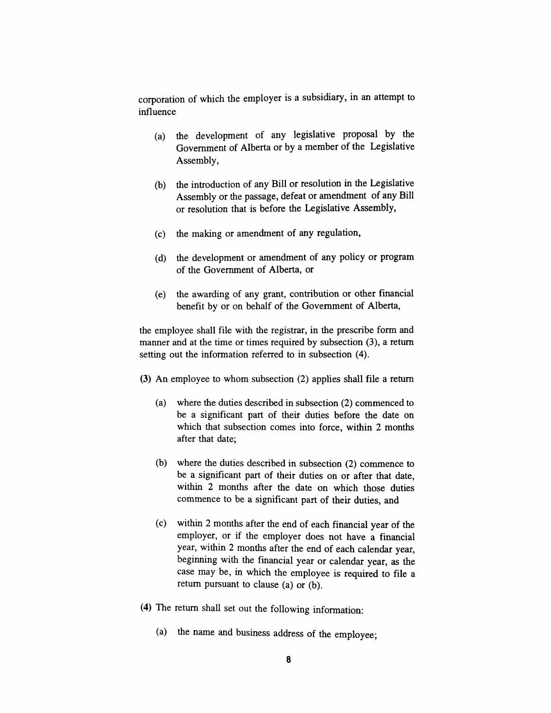*corporation of which the employer is a subsidiary, in an attempt to influence*

- *(a) the development of any legislative proposal by the Government of Alberta or by a member of the Legislative Assembly,*
- *(b) the introduction of any Bill or resolution in the Legislative Assembly or the passage, defeat or amendment of any Bill or resolution that is before the Legislative Assembly,*
- *(c) the making or amendment of any regulation,*
- *(d) the development or amendment of any policy or program of the Government of Alberta, or*
- *(e) the awarding of any grant, contribution or other financial benefit by or on behalf of the Government of Alberta,*

*the employee shall file with the registrar, in the prescribe form and manner and at the time or times required by subsection (3), a return setting out the information referred to in subsection (4).*

- *(3) An employee to whom subsection (2) applies shall file a return*
	- *(a) where the duties described in subsection (2) commenced to be a significant part of their duties before the date on which that subsection comes into force, within 2 months after that date;*
	- *(b) where the duties described in subsection (2) commence to be a significant part of their duties on or after that date, within 2 months after the date on which those duties commence to be a significant part of their duties, and*
	- *(c) within 2 months after the end of each financial year of the employer, or if the employer does not have a financial year, within 2 months after the end of each calendar year, beginning with the financial year or calendar year, as the case may be, in which the employee is required to file a return pursuant to clause (a) or (b).*
- *(4) The return shall set out the following information:*
	- *(a) the name and business address of the employee;*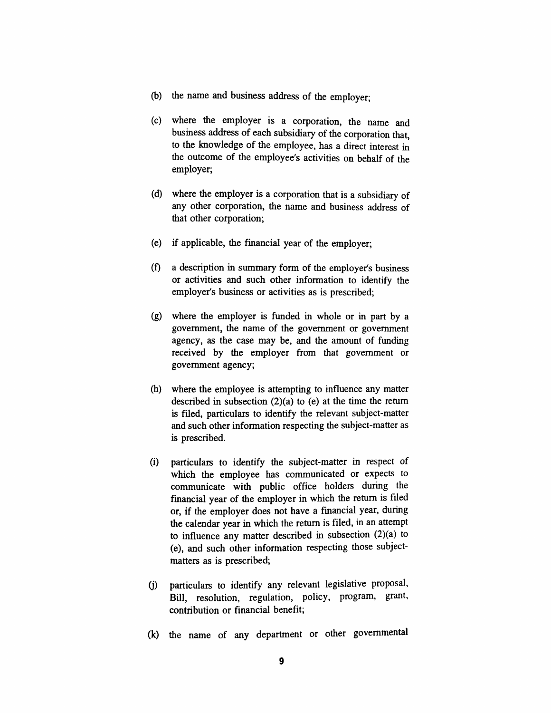- *(b) the name and business address of the employer;*
- *(c) where the employer is a corporation, the name and business address of each subsidiary of the corporation that, to the knowledge of the employee, has a direct interest in the outcome of the employee's activities on behalf of the employer;*
- *(d) where the employer is a corporation that is a subsidiary of any other corporation, the name and business address of that other corporation;*
- *(e) if applicable, the financial year of the employer;*
- *(f) a description in summary form of the employer's business or activities and such other information to identify the employer's business or activities as is prescribed;*
- *(g) where the employer is funded in whole or in part by a government, the name of the government or government agency, as the case may be, and the amount of funding received by the employer from that government or government agency;*
- *(h) where the employee is attempting to influence any matter described in subsection (2)(a) to (e) at the time the return is filed, particulars to identify the relevant subject-matter and such other information respecting the subject-matter as is prescribed.*
- *(i) particulars to identify the subject-matter in respect of which the employee has communicated or expects to communicate with public office holders during the financial year of the employer in which the return is filed or, if the employer does not have a financial year, during the calendar year in which the return is filed, in an attempt to influence any matter described in subsection (2)(a) to (e), and such other information respecting those subjectmatters as is prescribed;*
- *(j) particulars to identify any relevant legislative proposal, Bill, resolution, regulation, policy, program, grant, contribution or financial benefit;*
- *(k) the name of any department or other governmental*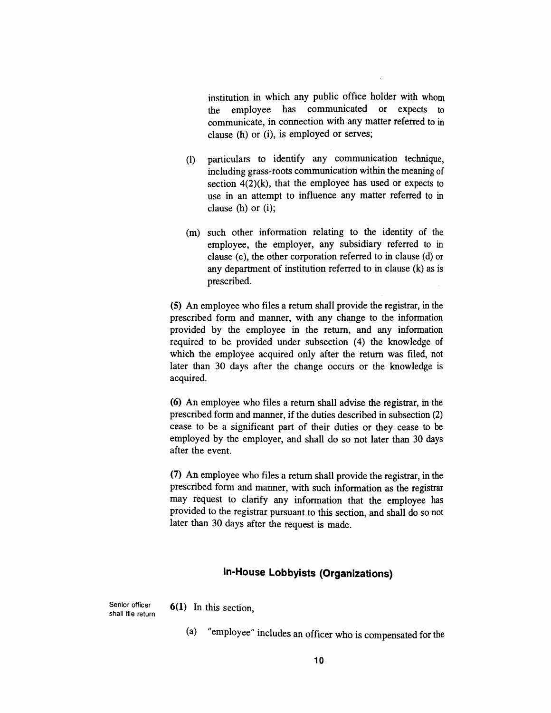*institution in which any public office holder with whom the employee has communicated or expects to communicate, in connection with any matter referred to in clause (h) or (i), is employed or serves;*

- *(l) particulars to identify any communication technique, including grass-roots communication within the meaning of section 4(2)(k), that the employee has used or expects to use in an attempt to influence any matter referred to in clause (h) or (i);*
- *(m) such other information relating to the identity of the employee, the employer, any subsidiary referred to in clause (c), the other corporation referred to in clause (d) or any department of institution referred to in clause (k) as is prescribed.*

*(5) An employee who files a return shall provide the registrar, in the prescribed form and manner, with any change to the information provided by the employee in the return, and any information required to be provided under subsection (4) the knowledge of which the employee acquired only after the return was filed, not later than 30 days after the change occurs or the knowledge is acquired.*

*(6) An employee who files a return shall advise the registrar, in the prescribed form and manner, ifthe duties described in subsection (2) cease to be a significant part of their duties or they cease to be employed by the employer, and shall do so not later than 30 days after the event.*

*(7) An employee who files a return shall provide the registrar, in the prescribed form and manner, with such information as the registrar may request to clarify any information that the employee has provided to the registrar pursuant to this section, and shall do so not later than 30 days after the request is made.*

## *In-House Lobbyists (Organizations)*

*Senior officer shall file return*

*6(1) In this section,*

*(a) "employee" includes an officer who is compensated for the*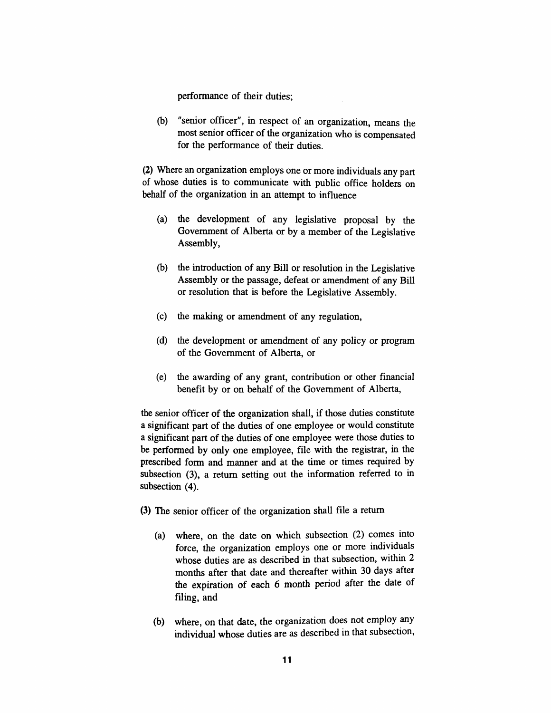*performance of their duties;*

*(b) "senior officer", in respect of an organization, means the most senior officer of the organization who is compensated for the performance of their duties.*

*(2) Where an organization employs one or more individuals any part of whose duties is to communicate with public office holders on behalf of the organization in an attempt to influence*

- *(a) the development of any legislative proposal by the Government of Alberta or by a member of the Legislative Assembly,*
- *(b) the introduction of any Bill or resolution in the Legislative Assembly or the passage, defeat or amendment of any Bill or resolution that is before the Legislative Assembly.*
- *(c) the making or amendment of any regulation,*
- *(d) the development or amendment of any policy or program of the Government of Alberta, or*
- *(e) the awarding of any grant, contribution or other financial benefit by or on behalf of the Government of Alberta,*

*the senior officer of the organization shall, if those duties constitute a significant part of the duties of one employee or would constitute a significant part of the duties of one employee were those duties to be performed by only one employee, file with the registrar, in the prescribed form and manner and at the time or times required by subsection (3), a return setting out the information referred to in subsection (4).*

- *(3) The senior officer of the organization shall file a return*
	- *(a) where, on the date on which subsection (2) comes into force, the organization employs one or more individuals whose duties are as described in that subsection, within 2 months after that date and thereafter within 30 days after the expiration of each 6 month period after the date of filing, and*
	- *(b) where, on that date, the organization does not employ any individual whose duties are as described in that subsection,*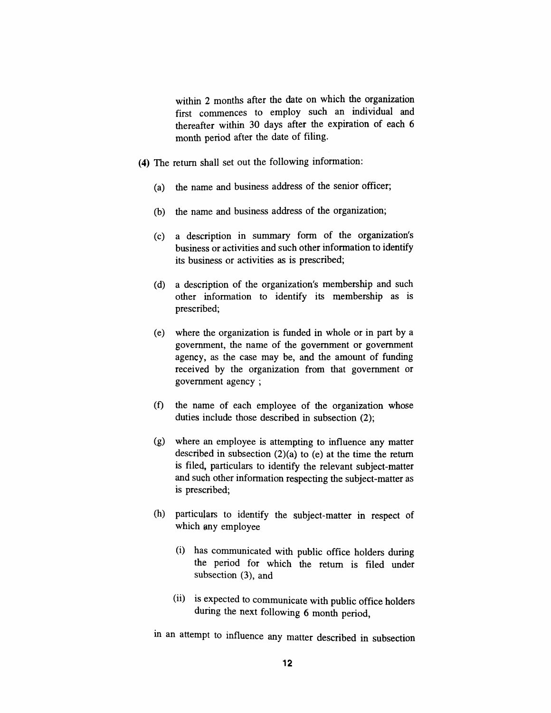*within 2 months after the date on which the organization first commences to employ such an individual and thereafter within 30 days after the expiration of each 6 month period after the date of filing.*

- *(4) The return shall set out the following information:*
	- *(a) the name and business address of the senior officer;*
	- *(b) the name and business address of the organization;*
	- *(c) a description in summary form of the organization's business or activities and such other information to identify its business or activities as is prescribed;*
	- *(d) a description of the organization's membership and such other information to identify its membership as is prescribed;*
	- *(e) where the organization is funded in whole or in part by a government, the name of the government or government agency, as the case may be, and the amount of funding received by the organization from that government or government agency ;*
	- *(f) the name of each employee of the organization whose duties include those described in subsection (2);*
	- *(g) where an employee is attempting to influence any matter described in subsection (2)(a) to (e) at the time the return is filed, particulars to identify the relevant subject-matter and such other information respecting the subject-matter as is prescribed;*
	- *(h) particulars to identify the subject-matter in respect of which any employee*
		- *(i) has communicated with public office holders during the period for which the return is filed under subsection (3), and*
		- *(ii) is expected to communicate with public office holders during the next following 6 month period,*

*in an attempt to influence any matter described in subsection*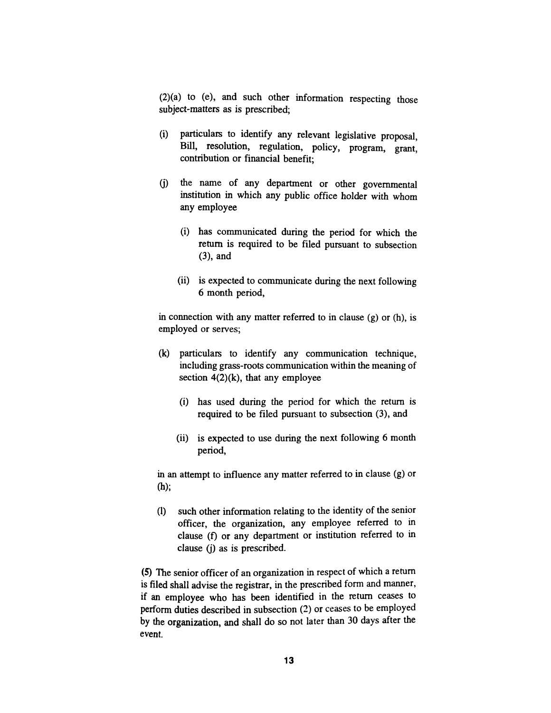*(2)(a) to (e), and such other information respecting those subject-matters as is prescribed;*

- *(i) particulars to identify any relevant legislative proposal, Bill, resolution, regulation, policy, program, grant, contribution or financial benefit;*
- *(j) the name of any department or other governmental institution in which any public office holder with whom any employee*
	- *(i) has communicated during the period for which the return is required to be filed pursuant to subsection (3), and*
	- *(ii) is expected to communicate during the next following 6 month period,*

*in connection with any matter referred to in clause (g) or (h), is employed or serves;*

- *(k) particulars to identify any communication technique, including grass-roots communication within the meaning of section 4(2)(k), that any employee*
	- *(i) has used during the period for which the return is required to be filed pursuant to subsection (3), and*
	- *(ii) is expected to use during the next following 6 month period,*

*in an attempt to influence any matter referred to in clause (g) or (h);*

*(l) such other information relating to the identity of the senior officer, the organization, any employee referred to in clause (f) or any department or institution referred to in clause (j) as is prescribed.*

*(5) The senior officer of an organization in respect of which a return is filed shall advise the registrar, in the prescribed form and manner, if an employee who has been identified in the return ceases to perform duties described in subsection (2) or ceases to be employed by the organization, and shall do so not later than 30 days after the event.*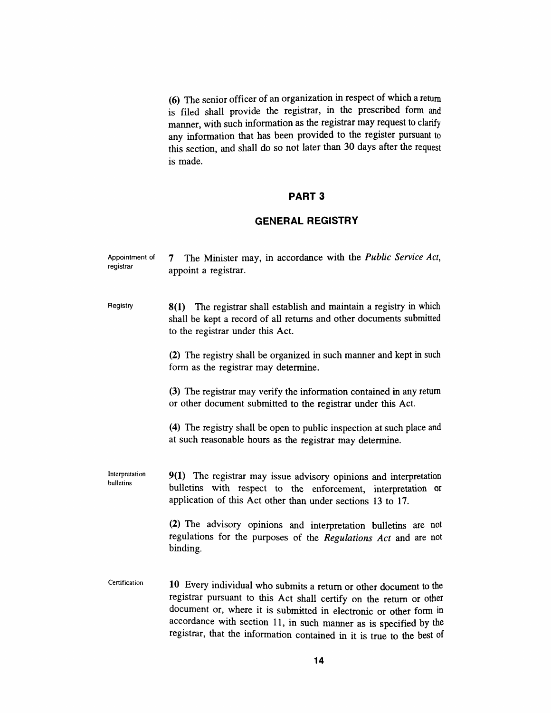*(6) The senior officer of an organization in respect of which a return is filed shall provide the registrar, in the prescribed form and manner, with such information as the registrar may request to clarify any information that has been provided to the register pursuant to this section, and shall do so not later than 30 days after the request is made.*

### *PART 3*

## *GENERAL REGISTRY*

| Appointment of<br>registrar | The Minister may, in accordance with the Public Service Act,<br>7<br>appoint a registrar.                                                                                                                                                                                          |
|-----------------------------|------------------------------------------------------------------------------------------------------------------------------------------------------------------------------------------------------------------------------------------------------------------------------------|
| Registry                    | 8(1) The registrar shall establish and maintain a registry in which<br>shall be kept a record of all returns and other documents submitted<br>to the registrar under this Act.                                                                                                     |
|                             | (2) The registry shall be organized in such manner and kept in such<br>form as the registrar may determine.                                                                                                                                                                        |
|                             | (3) The registrar may verify the information contained in any return<br>or other document submitted to the registrar under this Act.                                                                                                                                               |
|                             | (4) The registry shall be open to public inspection at such place and<br>at such reasonable hours as the registrar may determine.                                                                                                                                                  |
| Interpretation<br>bulletins | 9(1) The registrar may issue advisory opinions and interpretation<br>bulletins with respect to the enforcement, interpretation or<br>application of this Act other than under sections 13 to 17.                                                                                   |
|                             | (2) The advisory opinions and interpretation bulletins are not<br>regulations for the purposes of the Regulations Act and are not<br>binding.                                                                                                                                      |
| Certification               | 10 Every individual who submits a return or other document to the<br>registrar pursuant to this Act shall certify on the return or other<br>document or, where it is submitted in electronic or other form in<br>accordance with section 11, in such manner as is specified by the |

*registrar, that the information contained in it is true to the best of*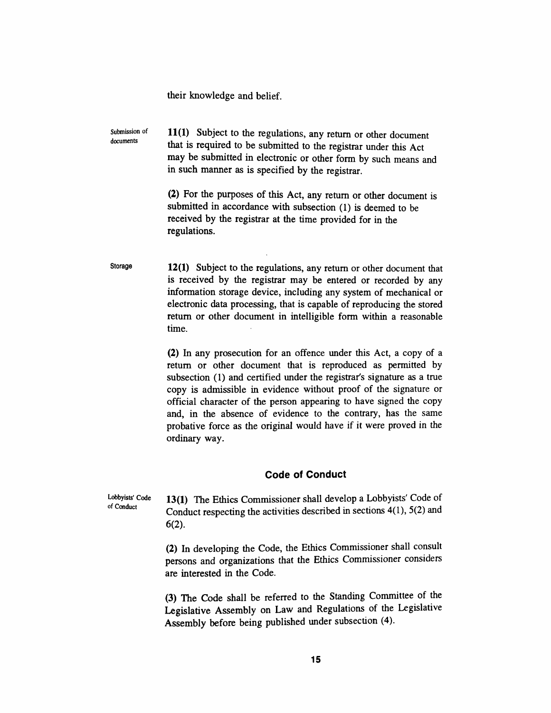*their knowledge and belief.*

*Submission of documents 11(1) Subject to the regulations, any return or other document that is required to be submitted to the registrar under this Act may be submitted in electronic or other form by such means and in such manner as is specified by the registrar.*

> *(2) For the purposes of this Act, any return or other document is submitted in accordance with subsection (1) is deemed to be received by the registrar at the time provided for in the regulations.*

*Storage 12(1) Subject to the regulations, any return or other document that is received by the registrar may be entered or recorded by any information storage device, including any system of mechanical or electronic data processing, that is capable of reproducing the stored return or other document in intelligible form within a reasonable time.*

> *(2) In any prosecution for an offence under this Act, a copy of a return or other document that is reproduced as permitted by subsection (1) and certified under the registrar's signature as a true copy is admissible in evidence without proof of the signature or official character of the person appearing to have signed the copy and, in the absence of evidence to the contrary, has the same probative force as the original would have if it were proved in the ordinary way.*

#### *Code of Conduct*

*Lobbyists' Code of Conduct 13(1) The Ethics Commissioner shall develop a Lobbyists' Code of Conduct respecting the activities described in sections 4(1), 5(2) and 6(2).*

> *(2) In developing the Code, the Ethics Commissioner shall consult persons and organizations that the Ethics Commissioner considers are interested in the Code.*

> *(3) The Code shall be referred to the Standing Committee of the Legislative Assembly on Law and Regulations of the Legislative Assembly before being published under subsection (4).*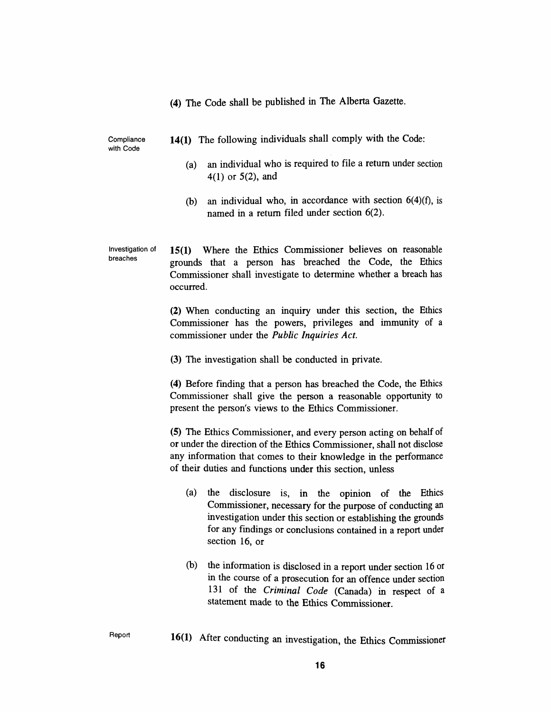*(4) The Code shall be published in The Alberta Gazette.*

*Compliance with Code 14(1) The following individuals shall comply with the Code:*

- *(a) an individual who is required to file a return under section 4(1) or 5(2), and*
- *(b) an individual who, in accordance with section 6(4)(f), is named in a return filed under section 6(2).*

*15(1) Where the Ethics Commissioner believes on reasonable grounds that a person has breached the Code, the Ethics Commissioner shall investigate to determine whether a breach has occurred. Investigation of breaches*

> *(2) When conducting an inquiry under this section, the Ethics Commissioner has the powers, privileges and immunity of a commissioner under the Public Inquiries Act.*

*(3) The investigation shall be conducted in private.*

*(4) Before finding that a person has breached the Code, the Ethics Commissioner shall give the person a reasonable opportunity to present the person's views to the Ethics Commissioner.*

*(5) The Ethics Commissioner, and every person acting on behalf of or under the direction of the Ethics Commissioner, shall not disclose any information that comes to their knowledge in the performance of their duties and functions under this section, unless*

- *(a) the disclosure is, in the opinion of the Ethics Commissioner, necessary for the purpose of conducting an investigation under this section or establishing the grounds for any findings or conclusions contained in a report under section 16, or*
- *(b) the information is disclosed in a report under section 16 or in the course of a prosecution for an offence under section 131 of the Criminal Code (Canada) in respect of a statement made to the Ethics Commissioner.*
- *16(1) After conducting an investigation, the Ethics Commissioner*

*Report*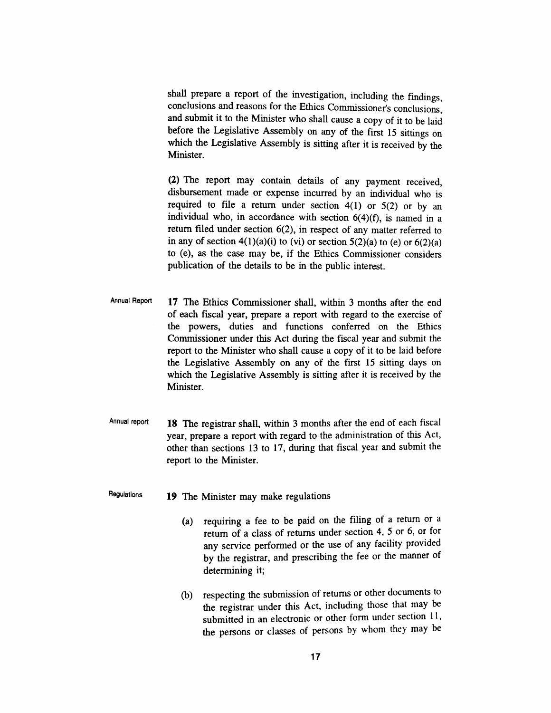*shall prepare a report of the investigation, including the findings, conclusions and reasons for the Ethics Commissioner's conclusions, and submit it to the Minister who shall cause a copy of it to be laid before the Legislative Assembly on any of the first 15 sittings on which the Legislative Assembly is sitting after it is received by the Minister.*

*(2) The report may contain details of any payment received, disbursement made or expense incurred by an individual who is required to file a return under section 4(1) or 5(2) or by an individual who, in accordance with section 6(4)(f), is named in a return filed under section 6(2), in respect of any matter referred to in any of section 4(l)(a)(i) to (vi) or section 5(2)(a) to (e) or 6(2)(a) to (e), as the case may be, if the Ethics Commissioner considers publication of the details to be in the public interest.*

- *Annual Report 17 The Ethics Commissioner shall, within 3 months after the end of each fiscal year, prepare a report with regard to the exercise of the powers, duties and functions conferred on the Ethics Commissioner under this Act during the fiscal year and submit the report to the Minister who shall cause a copy of it to be laid before the Legislative Assembly on any of the first 15 sitting days on which the Legislative Assembly is sitting after it is received by the Minister.*
- *Annual report 18 The registrar shall, within 3 months after the end of each fiscal year, prepare a report with regard to the administration of this Act, other than sections 13 to 17, during that fiscal year and submit the report to the Minister.*
- *Regulations 19 The Minister may make regulations*
	- *(a) requiring a fee to be paid on the filing of a return or a return of a class of returns under section 4, 5 or 6, or for any service performed or the use of any facility provided by the registrar, and prescribing the fee or the manner of determining it;*
	- *(b) respecting the submission of returns or other documents to the registrar under this Act, including those that may be submitted in an electronic or other form under section 11, the persons or classes of persons by whom they may be*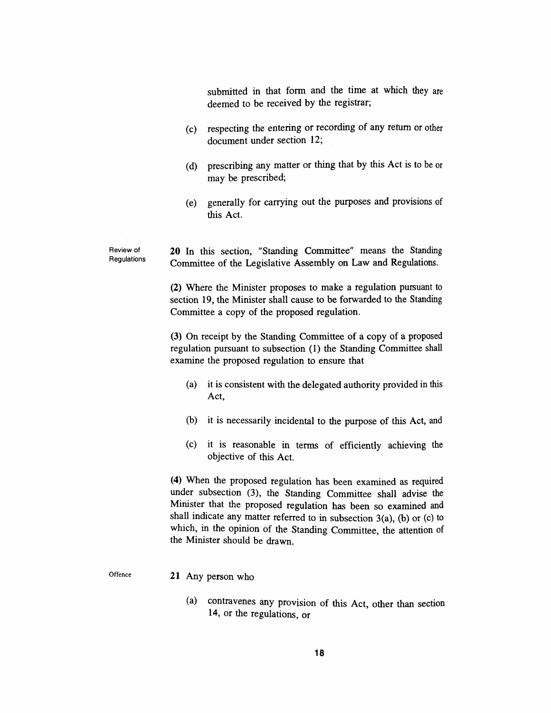*submitted in that form and the time at which they are deemed to be received by the registrar;*

- *(c) respecting the entering or recording of any return or other document under section 12;*
- *(d) prescribing any matter or thing that by this Act is to be or may be prescribed;*
- *(e) generally for carrying out the purposes and provisions of this Act.*

*Review of Regulations 20 In this section, "Standing Committee" means the Standing Committee of the Legislative Assembly on Law and Regulations.*

> *(2) Where the Minister proposes to make a regulation pursuant to section 19, the Minister shall cause to be forwarded to the Standing Committee a copy of the proposed regulation.*

> *(3) On receipt by the Standing Committee of a copy of a proposed regulation pursuant to subsection (1) the Standing Committee shall examine the proposed regulation to ensure that*

- *(a) it is consistent with the delegated authority provided in this Act,*
- *(b) it is necessarily incidental to the purpose of this Act, and*
- *(c) it is reasonable in terms of efficiently achieving the objective of this Act.*

*(4) When the proposed regulation has been examined as required under subsection (3), the Standing Committee shall advise the Minister that the proposed regulation has been so examined and shall indicate any matter referred to in subsection 3(a), (b) or (c) to which, in the opinion of the Standing Committee, the attention of the Minister should be drawn.*

- *Offence 21 Any person who*
	- *(a) contravenes any provision of this Act, other than section 14, or the regulations, or*